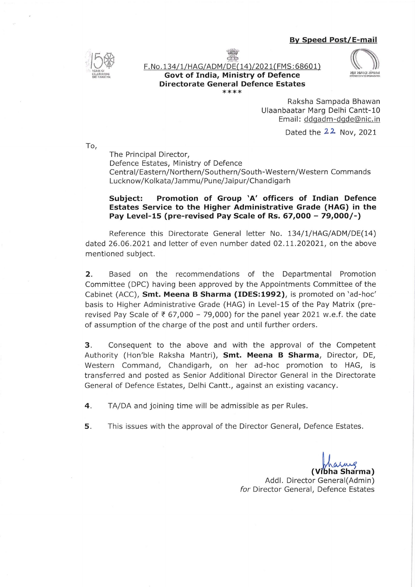## **By Speed Post/E-mail**



**PAN** F. No.134/1/HAG/ADM/DE(14 )/2021(FMS: 68601) **Govt of India, Ministry of Defence Directorate General Defence Estates** 

\*\*\*\*



Raksha Sampada Bhawan Ulaanbaatar Marg Delhi Cantt-10 Email: ddgadm-dgde@nic. in

Dated the 22 Nov, 2021

To,

The Principal Director, Defence Estates, Ministry of Defence Central/Eastern/Northern/Southern/South-Western/Western Commands Lucknow/Kolkata/Jammu/Pune/Jaipur/Chandigarh

## **Subject: Promotion of Group 'A' officers of Indian Defence Estates Service to the Higher Administrative Grade (HAG) in the Pay Level-15 (pre-revised Pay Scale of Rs. 67,000- 79,000/-)**

Reference this Directorate General letter No. 134/1/HAG/ADM/DE(14) dated 26 .06 .2021 and letter of even number dated 02.11.202021, on the above mentioned subject.

**2.** Based on the recommendations of the Departmental Promotion Committee (DPC) having been approved by the Appointments Committee of the Cabinet (ACC), **Smt. Meena B Sharma (IDES:1992),** is promoted on 'ad-hoc' basis to Higher Administrative Grade (HAG) in Level-15 of the Pay Matrix (prerevised Pay Scale of  $\overline{\xi}$  67,000 - 79,000) for the panel year 2021 w.e.f. the date of assumption of the charge of the post and until further orders.

3. Consequent to the above and with the approval of the Competent Authority (Hon'ble Raksha Mantri), **Smt. Meena B Sharma,** Director, DE, Western Command, Chandigarh, on her ad-hoc promotion to HAG, is transferred and posted as Senior Additional Director General in the Directorate General of Defence Estates, Delhi Cantt., against an existing vacancy.

**4 .** TA/DA and joining time will be admissible as per Rules.

**5.** This issues with the approval of the Director General, Defence Estates.

1a Sharma)

Addl. Director Generai(Admin) for Director General, Defence Estates